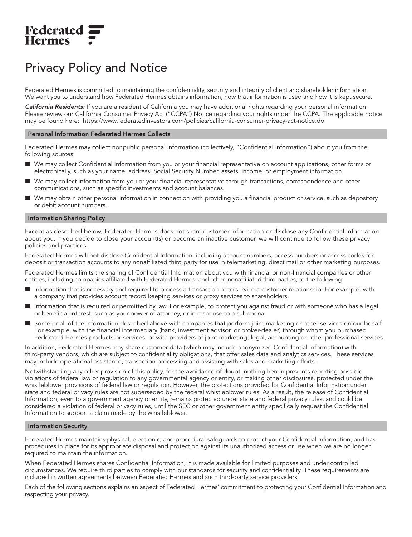# **Federated<br>Hermes**

# Privacy Policy and Notice

Federated Hermes is committed to maintaining the confidentiality, security and integrity of client and shareholder information. We want you to understand how Federated Hermes obtains information, how that information is used and how it is kept secure.

California Residents: If you are a resident of California you may have additional rights regarding your personal information. Please review our California Consumer Privacy Act ("CCPA") Notice regarding your rights under the CCPA. The applicable notice may be found here: [https://www.federatedinvestors.com/policies/california-consumer-privacy-act-notice.do.](https://www.federatedinvestors.com/policies/california-consumer-privacy-act-notice.do)

## Personal Information Federated Hermes Collects

Federated Hermes may collect nonpublic personal information (collectively, "Confidential Information") about you from the following sources:

- We may collect Confidential Information from you or your financial representative on account applications, other forms or electronically, such as your name, address, Social Security Number, assets, income, or employment information.
- We may collect information from you or your financial representative through transactions, correspondence and other communications, such as specific investments and account balances.
- We may obtain other personal information in connection with providing you a financial product or service, such as depository or debit account numbers.

## Information Sharing Policy

Except as described below, Federated Hermes does not share customer information or disclose any Confidential Information about you. If you decide to close your account(s) or become an inactive customer, we will continue to follow these privacy policies and practices.

Federated Hermes will not disclose Confidential Information, including account numbers, access numbers or access codes for deposit or transaction accounts to any nonaffiliated third party for use in telemarketing, direct mail or other marketing purposes.

Federated Hermes limits the sharing of Confidential Information about you with financial or non-financial companies or other entities, including companies affiliated with Federated Hermes, and other, nonaffiliated third parties, to the following:

- Information that is necessary and required to process a transaction or to service a customer relationship. For example, with a company that provides account record keeping services or proxy services to shareholders.
- Information that is required or permitted by law. For example, to protect you against fraud or with someone who has a legal or beneficial interest, such as your power of attorney, or in response to a subpoena.
- Some or all of the information described above with companies that perform joint marketing or other services on our behalf. For example, with the financial intermediary (bank, investment advisor, or broker-dealer) through whom you purchased Federated Hermes products or services, or with providers of joint marketing, legal, accounting or other professional services.

In addition, Federated Hermes may share customer data (which may include anonymized Confidential Information) with third-party vendors, which are subject to confidentiality obligations, that offer sales data and analytics services. These services may include operational assistance, transaction processing and assisting with sales and marketing efforts.

Notwithstanding any other provision of this policy, for the avoidance of doubt, nothing herein prevents reporting possible violations of federal law or regulation to any governmental agency or entity, or making other disclosures, protected under the whistleblower provisions of federal law or regulation. However, the protections provided for Confidential Information under state and federal privacy rules are not superseded by the federal whistleblower rules. As a result, the release of Confidential Information, even to a government agency or entity, remains protected under state and federal privacy rules, and could be considered a violation of federal privacy rules, until the SEC or other government entity specifically request the Confidential Information to support a claim made by the whistleblower.

# Information Security

Federated Hermes maintains physical, electronic, and procedural safeguards to protect your Confidential Information, and has procedures in place for its appropriate disposal and protection against its unauthorized access or use when we are no longer required to maintain the information.

When Federated Hermes shares Confidential Information, it is made available for limited purposes and under controlled circumstances. We require third parties to comply with our standards for security and confi dentiality. These requirements are included in written agreements between Federated Hermes and such third-party service providers.

Each of the following sections explains an aspect of Federated Hermes' commitment to protecting your Confidential Information and respecting your privacy.